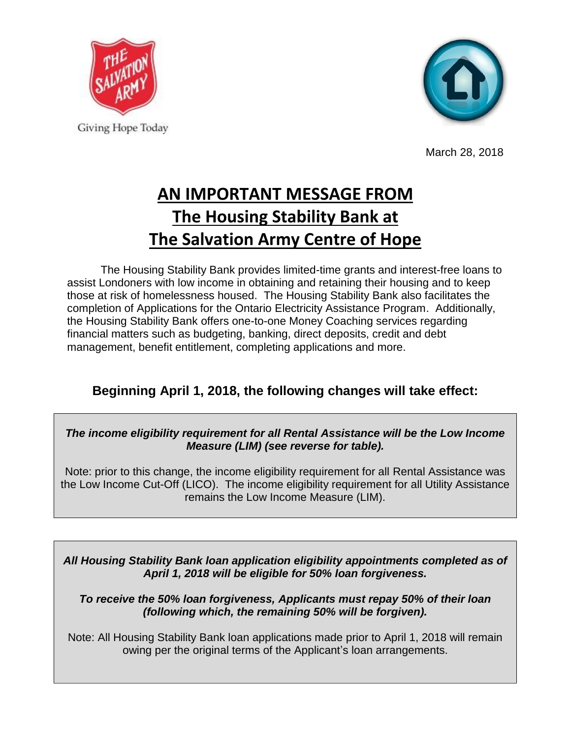



March 28, 2018

## **AN IMPORTANT MESSAGE FROM The Housing Stability Bank at The Salvation Army Centre of Hope**

The Housing Stability Bank provides limited-time grants and interest-free loans to assist Londoners with low income in obtaining and retaining their housing and to keep those at risk of homelessness housed. The Housing Stability Bank also facilitates the completion of Applications for the Ontario Electricity Assistance Program. Additionally, the Housing Stability Bank offers one-to-one Money Coaching services regarding financial matters such as budgeting, banking, direct deposits, credit and debt management, benefit entitlement, completing applications and more.

## **Beginning April 1, 2018, the following changes will take effect:**

## *The income eligibility requirement for all Rental Assistance will be the Low Income Measure (LIM) (see reverse for table).*

Note: prior to this change, the income eligibility requirement for all Rental Assistance was the Low Income Cut-Off (LICO). The income eligibility requirement for all Utility Assistance remains the Low Income Measure (LIM).

*All Housing Stability Bank loan application eligibility appointments completed as of April 1, 2018 will be eligible for 50% loan forgiveness.* 

*To receive the 50% loan forgiveness, Applicants must repay 50% of their loan (following which, the remaining 50% will be forgiven).*

Note: All Housing Stability Bank loan applications made prior to April 1, 2018 will remain owing per the original terms of the Applicant's loan arrangements.